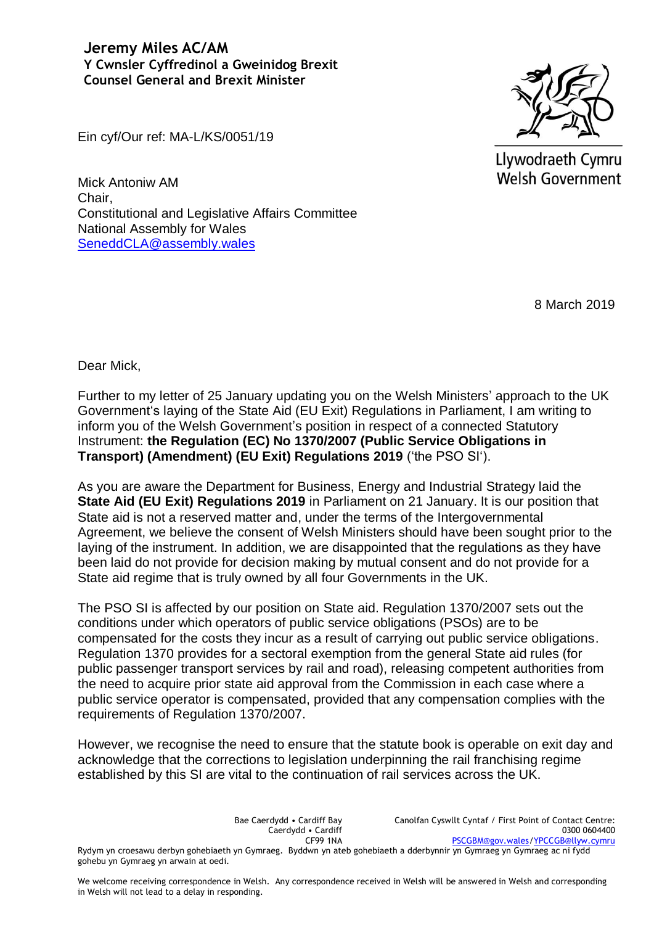**Jeremy Miles AC/AM Y Cwnsler Cyffredinol a Gweinidog Brexit Counsel General and Brexit Minister**

Llywodraeth Cymru **Welsh Government** 

Ein cyf/Our ref: MA-L/KS/0051/19

Mick Antoniw AM Chair, Constitutional and Legislative Affairs Committee National Assembly for Wales [SeneddCLA@assembly.wales](mailto:SeneddCLA@assembly.wales)

8 March 2019

Dear Mick,

Further to my letter of 25 January updating you on the Welsh Ministers' approach to the UK Government's laying of the State Aid (EU Exit) Regulations in Parliament, I am writing to inform you of the Welsh Government's position in respect of a connected Statutory Instrument: **the Regulation (EC) No 1370/2007 (Public Service Obligations in Transport) (Amendment) (EU Exit) Regulations 2019** ('the PSO SI').

As you are aware the Department for Business, Energy and Industrial Strategy laid the **State Aid (EU Exit) Regulations 2019** in Parliament on 21 January. It is our position that State aid is not a reserved matter and, under the terms of the Intergovernmental Agreement, we believe the consent of Welsh Ministers should have been sought prior to the laying of the instrument. In addition, we are disappointed that the regulations as they have been laid do not provide for decision making by mutual consent and do not provide for a State aid regime that is truly owned by all four Governments in the UK.

The PSO SI is affected by our position on State aid. Regulation 1370/2007 sets out the conditions under which operators of public service obligations (PSOs) are to be compensated for the costs they incur as a result of carrying out public service obligations. Regulation 1370 provides for a sectoral exemption from the general State aid rules (for public passenger transport services by rail and road), releasing competent authorities from the need to acquire prior state aid approval from the Commission in each case where a public service operator is compensated, provided that any compensation complies with the requirements of Regulation 1370/2007.

However, we recognise the need to ensure that the statute book is operable on exit day and acknowledge that the corrections to legislation underpinning the rail franchising regime established by this SI are vital to the continuation of rail services across the UK.

Bae Caerdydd • Cardiff Bay Caerdydd • Cardiff CF99 1NA Canolfan Cyswllt Cyntaf / First Point of Contact Centre: 0300 0604400 [PSCGBM@gov.wales](mailto:PSCGBM@gov.wales)[/YPCCGB@llyw.cymru](mailto:YPCCGB@llyw.cymru) Rydym yn croesawu derbyn gohebiaeth yn Gymraeg. Byddwn yn ateb gohebiaeth a dderbynnir yn Gymraeg yn Gymraeg ac ni fydd gohebu yn Gymraeg yn arwain at oedi.

We welcome receiving correspondence in Welsh. Any correspondence received in Welsh will be answered in Welsh and corresponding in Welsh will not lead to a delay in responding.